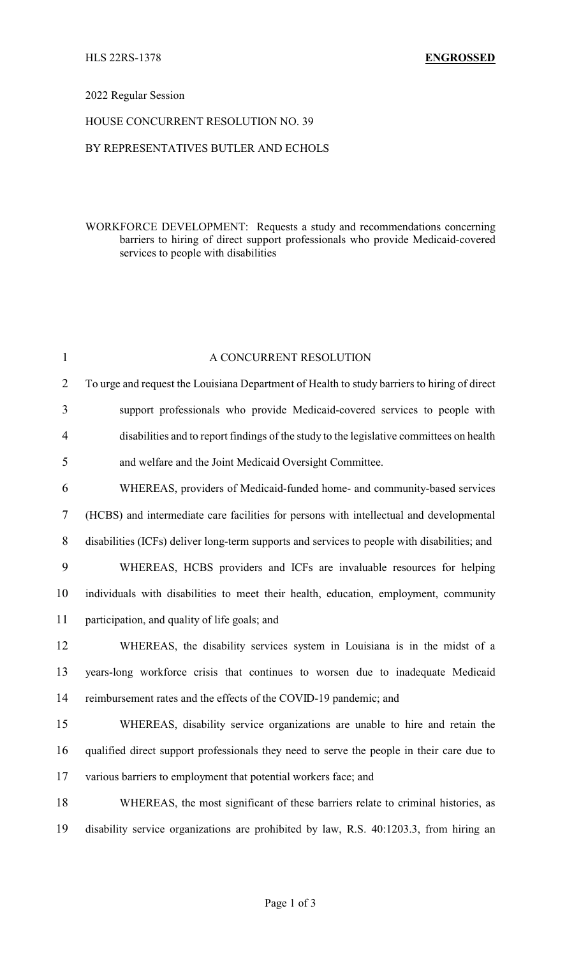### 2022 Regular Session

### HOUSE CONCURRENT RESOLUTION NO. 39

### BY REPRESENTATIVES BUTLER AND ECHOLS

# WORKFORCE DEVELOPMENT: Requests a study and recommendations concerning barriers to hiring of direct support professionals who provide Medicaid-covered services to people with disabilities

| $\mathbf{1}$   | A CONCURRENT RESOLUTION                                                                      |
|----------------|----------------------------------------------------------------------------------------------|
| $\overline{2}$ | To urge and request the Louisiana Department of Health to study barriers to hiring of direct |
| 3              | support professionals who provide Medicaid-covered services to people with                   |
| $\overline{4}$ | disabilities and to report findings of the study to the legislative committees on health     |
| 5              | and welfare and the Joint Medicaid Oversight Committee.                                      |
| 6              | WHEREAS, providers of Medicaid-funded home- and community-based services                     |
| $\overline{7}$ | (HCBS) and intermediate care facilities for persons with intellectual and developmental      |
| 8              | disabilities (ICFs) deliver long-term supports and services to people with disabilities; and |
| 9              | WHEREAS, HCBS providers and ICFs are invaluable resources for helping                        |
| 10             | individuals with disabilities to meet their health, education, employment, community         |
| 11             | participation, and quality of life goals; and                                                |
| 12             | WHEREAS, the disability services system in Louisiana is in the midst of a                    |
| 13             | years-long workforce crisis that continues to worsen due to inadequate Medicaid              |
| 14             | reimbursement rates and the effects of the COVID-19 pandemic; and                            |
| 15             | WHEREAS, disability service organizations are unable to hire and retain the                  |
| 16             | qualified direct support professionals they need to serve the people in their care due to    |
| 17             | various barriers to employment that potential workers face; and                              |
| 18             | WHEREAS, the most significant of these barriers relate to criminal histories, as             |
| 19             | disability service organizations are prohibited by law, R.S. 40:1203.3, from hiring an       |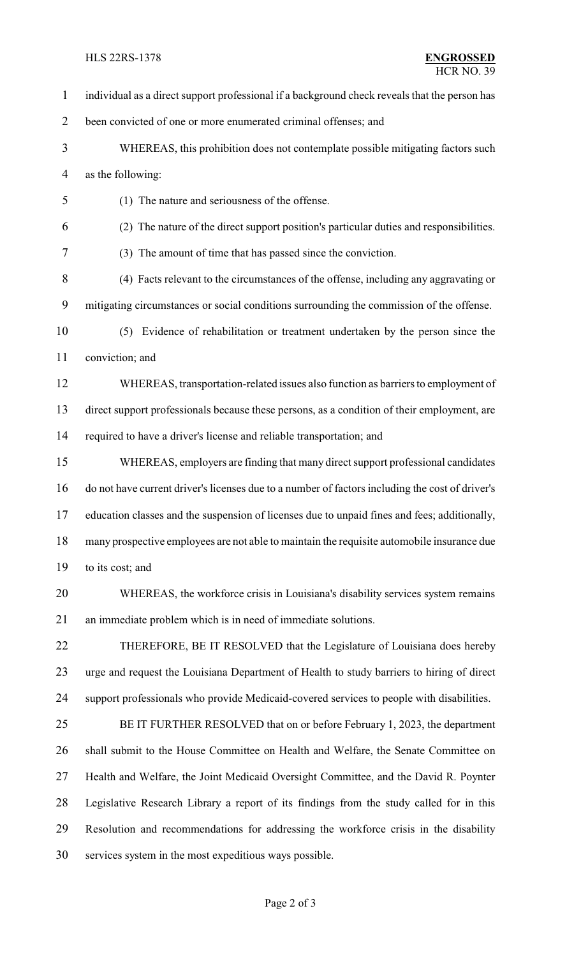#### HLS 22RS-1378 **ENGROSSED**

 individual as a direct support professional if a background check reveals that the person has been convicted of one or more enumerated criminal offenses; and WHEREAS, this prohibition does not contemplate possible mitigating factors such as the following: (1) The nature and seriousness of the offense. (2) The nature of the direct support position's particular duties and responsibilities. (3) The amount of time that has passed since the conviction. (4) Facts relevant to the circumstances of the offense, including any aggravating or mitigating circumstances or social conditions surrounding the commission of the offense. (5) Evidence of rehabilitation or treatment undertaken by the person since the conviction; and WHEREAS, transportation-related issues also function as barriers to employment of direct support professionals because these persons, as a condition of their employment, are required to have a driver's license and reliable transportation; and WHEREAS, employers are finding that many direct support professional candidates do not have current driver's licenses due to a number of factors including the cost of driver's education classes and the suspension of licenses due to unpaid fines and fees; additionally, many prospective employees are not able to maintain the requisite automobile insurance due to its cost; and WHEREAS, the workforce crisis in Louisiana's disability services system remains an immediate problem which is in need of immediate solutions. THEREFORE, BE IT RESOLVED that the Legislature of Louisiana does hereby urge and request the Louisiana Department of Health to study barriers to hiring of direct support professionals who provide Medicaid-covered services to people with disabilities. BE IT FURTHER RESOLVED that on or before February 1, 2023, the department shall submit to the House Committee on Health and Welfare, the Senate Committee on Health and Welfare, the Joint Medicaid Oversight Committee, and the David R. Poynter Legislative Research Library a report of its findings from the study called for in this Resolution and recommendations for addressing the workforce crisis in the disability services system in the most expeditious ways possible.